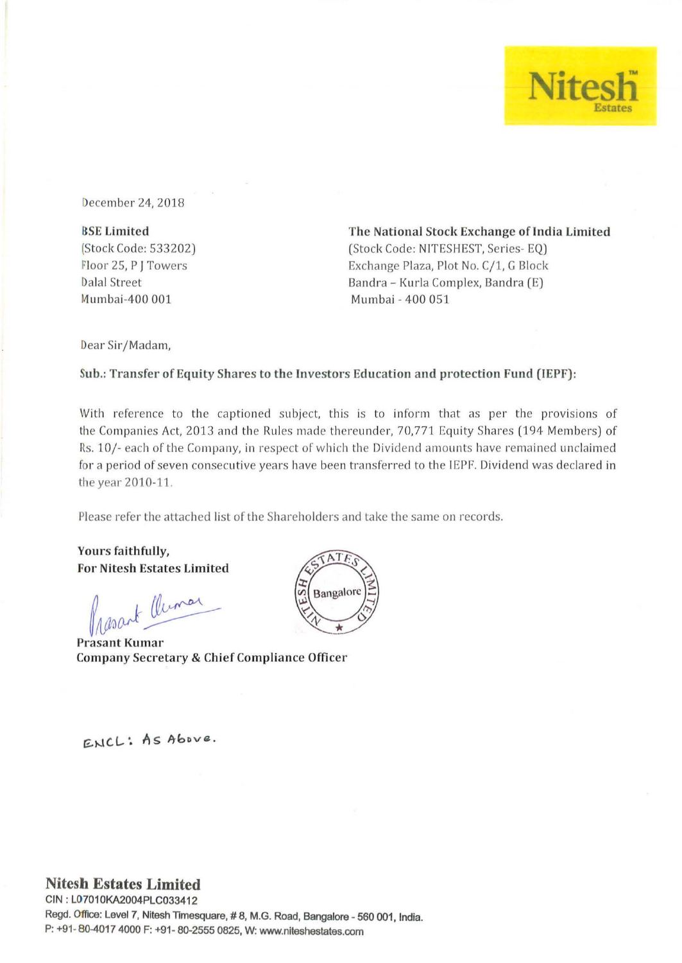

December 24, 2018

BSE Limited (Stock Code: 533202) Floor 25, P J Towers Dalal Street Mumbai-400 001

The National Stock Exchange of India Limited (Stock Code: NITESHEST, Series-EQ) Exchange Plaza, Plot No. C/1, G Block Bandra - Kurla Complex, Bandra (E) Mumbai - 400 051

Dear Sir/Madam,

Sub.: Transfer of Equity Shares to the Investors Education and protection Fund (IEPF):

With reference to the captioned subject, this is to inform that as per the provisions of the Companies Act, 2013 and the Rules made thereunder, 70,771 Equity Shares (194 Members) of Rs. 10/- each of the Company, in respect of which the Dividend amounts have remained unclaimed for a period of seven consecutive years have been transferred to the IEPF. Dividend was declared in the year 2010-11.

ATT

Bangalore

Please refer the attached list of the Shareholders and take the same on records.

Yours faithfully, For Nitesh Estates Limited

lesant Clumar

**Prasant Kumar** Company Secretary & Chief Compliance Officer

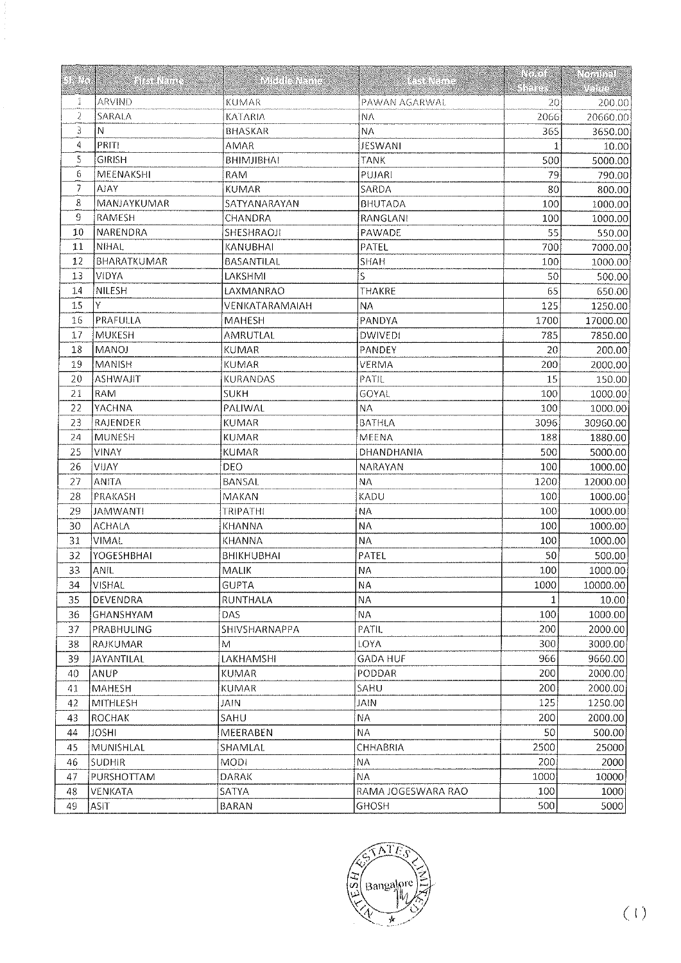| <b>SANCTO</b> | e antar dh'in tarbhe | an in Bhanaich    | ETHELELLE          | en er a<br>Silika | ree een<br>it nya |
|---------------|----------------------|-------------------|--------------------|-------------------|-------------------|
| Ã.            | ARVIND               | <b>KUMAR</b>      | PAWAN AGARWAL      | 20                | 200.00            |
| $\tilde{Z}$   | SARALA               | <b>KATARIA</b>    | <b>NA</b>          | 2066              | 20660.00          |
| 3             | N                    | <b>BHASKAR</b>    | NΑ                 | 365               | 3650.00           |
| 4             | <b>PRITI</b>         | <b>AMAR</b>       | <b>JESWANI</b>     | 1                 | 10.00             |
| 5             | <b>GIRISH</b>        | <b>BHIMJIBHAI</b> | <b>TANK</b>        | 500               | 5000.00           |
| 6             | MEENAKSHI            | RAM               | PUJARI             | 79                | 790.00            |
| 7             | AJAY                 | KUMAR             | SARDA              | 80                | 800.00            |
| 8             | MANJAYKUMAR          | SATYANARAYAN      | <b>BHUTADA</b>     | 100               | 1000.00           |
| 9             | RAMESH               | CHANDRA           | RANGLANI           | 100               | 1000.00           |
| 10            | <b>NARENDRA</b>      | <b>SHESHRAOJI</b> | PAWADE             | 55                | 550.00            |
| 11            | <b>NIHAL</b>         | KANUBHAI          | PATEL              | 700               | 7000.00           |
| 12            | BHARATKUMAR          | <b>BASANTILAL</b> | SHAH               | 100               | 1000.00           |
| 13            | VIDYA                | LAKSHMI           | S                  | 50                | 500.00            |
| 14            | NILESH               | LAXMANRAO         | THAKRE             | 65                | 650.00            |
| 15            | Υ                    | VENKATARAMAIAH    | NA                 | 125               | 1250.00           |
| 16            | PRAFULLA             | <b>MAHESH</b>     | PANDYA             | 1700              | 17000.00          |
| 17            | MUKESH               | AMRUTLAL          | <b>DWIVEDI</b>     | 785               | 7850.00           |
| 18            | <b>MANOJ</b>         | <b>KUMAR</b>      | PANDEY             | 20                | 200.00            |
| 19            | <b>MANISH</b>        | <b>KUMAR</b>      | VERMA              | 200               | 2000.00           |
| 20            | ASHWAJIT             | <b>KURANDAS</b>   | PATIL              | 15                | 150.00            |
| 21            | <b>RAM</b>           | <b>SUKH</b>       | GOYAL              | 100               | 1000.00           |
| 22            | YACHNA               | PALIWAL           | NΑ                 | 100               | 1000.00           |
| 23            | RAJENDER             | <b>KUMAR</b>      | BATHLA             | 3096              | 30960.00          |
| 24            | MUNESH               | <b>KUMAR</b>      | MEENA              | 188               | 1880.00           |
| 25            | <b>VINAY</b>         | KUMAR             | DHANDHANIA         | 500               | 5000.00           |
| 26            | VIJAY                | DEO               | NARAYAN            | 100               | 1000.00           |
| 27            | <b>ANITA</b>         | <b>BANSAL</b>     | <b>NA</b>          | 1200              | 12000.00          |
| 28            | PRAKASH              | MAKAN             | KADU               | 100               | 1000.00           |
| 29            | <b>JAMWANTI</b>      | TRIPATHI          | NΑ                 | 100               | 1000.00           |
| 30            | <b>ACHALA</b>        | <b>KHANNA</b>     | NΑ                 | 100               | 1000.00           |
| 31            | <b>VIMAL</b>         | <b>KHANNA</b>     | <b>NA</b>          |                   |                   |
|               |                      |                   |                    | 100               | 1000.00           |
| 32            | YOGESHBHAI           | <b>BHIKHUBHAI</b> | PATEL              | 50                | 500.00            |
| 33            | ANIL                 | MALIK             | <b>NA</b>          | 100               | 1000.00           |
| 34            | VISHAL               | <b>GUPTA</b>      | <b>NA</b>          | 1000              | 10000.00          |
| 35            | DEVENDRA             | <b>RUNTHALA</b>   | $\sf{NA}$          | 1                 | 10.00             |
| 36            | <b>GHANSHYAM</b>     | DAS               | <b>NA</b>          | 100               | 1000.00           |
| 37            | PRABHULING           | SHIVSHARNAPPA     | PATIL              | 200               | 2000.00           |
| 38            | RAJKUMAR             | M                 | LOYA.              | 300               | 3000.00           |
| 39            | JAYANTILAL           | LAKHAMSHI         | <b>GADA HUF</b>    | 966               | 9660.00           |
| 40            | ANUP                 | <b>KUMAR</b>      | PODDAR             | 200               | 2000.00           |
| 41            | <b>MAHESH</b>        | KUMAR             | SAHU               | 200               | 2000.00           |
| 42            | MITHLESH             | JAIN              | <b>JAIN</b>        | 125               | 1250.00           |
| 43            | <b>ROCHAK</b>        | SAHU              | <b>NA</b>          | 200               | 2000.00           |
| 44            | <b>JOSHI</b>         | MEERABEN          | NА                 | 50                | 500.00            |
| 45            | MUNISHLAL            | SHAMLAL           | CHHABRIA           | 2500              | 25000             |
| 46            | <b>SUDHIR</b>        | MODI              | <b>NA</b>          | 200               | 2000              |
| 47            | PURSHOTTAM           | DARAK             | ΝA.                | 1000              | 10000             |
| 48            | VENKATA              | SATYA             | RAMA JOGESWARA RAO | 100               | 1000              |
| 49            | ASIT                 | BARAN             | <b>GHOSH</b>       | 500               | 5000              |

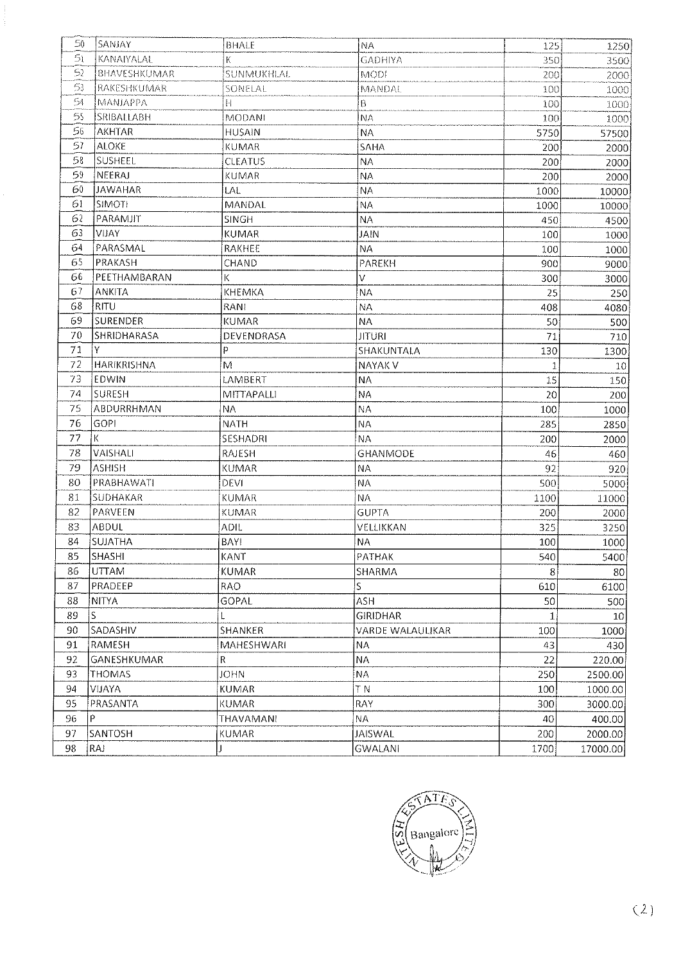| 50     | SANJAY          | BHALE             | NA               | 125          | 1250            |
|--------|-----------------|-------------------|------------------|--------------|-----------------|
| 51     | KANAIYALAL      | К                 | <b>GADHIYA</b>   | 350          | 3500            |
| 5)     | BHAVESHKUMAR    | SUNMUKHLAL        | <b>MODI</b>      | 200          | 2000            |
| 53     | RAKESHKUMAR     | SONELAL           | MANDAL           | 100          | 1000            |
| 54     | <b>MANJAPPA</b> | H                 | ₿                | 100          | 1000            |
| 55     | SRIBALLABH      | <b>MODANI</b>     | $N_A$            | 100          | 1000            |
| 56     | AKHTAR          | <b>HUSAIN</b>     | NA               | 5750         | 57500           |
| 57     | <b>ALOKE</b>    | <b>KUMAR</b>      | SAHA             | 200          | 2000            |
| 58     | <b>SUSHEEL</b>  | <b>CLEATUS</b>    | $N\mathbb{A}$    | 200          | 2000            |
| 59     | NEERAJ          | <b>KUMAR</b>      | <b>ΝΑ</b>        | 200          | 2000            |
| 60     | <b>JAWAHAR</b>  | LAL.              | NΑ               | 1000         | 10000           |
| 61     | SIMOTI          | <b>MANDAL</b>     | NΑ               | 1000         | 10000           |
| 62     | PARAMJIT        | <b>SINGH</b>      | $\sf{NA}$        | 450          | 4500            |
| 63     | VIJAY           | <b>KUMAR</b>      | <b>JAIN</b>      | 100          | 1000            |
| 64     | PARASMAL        | RAKHEE            | ΝA.              | 100          | 1000            |
| 65     | PRAKASH         | CHAND             | PAREKH           | 900          | 9000            |
| 66     | PEETHAMBARAN    | K                 | V                | 300          | 3000            |
| 67     | <b>ANKITA</b>   | KHEMKA            | <b>NA</b>        | 25           | 250             |
| 68     | RITU            | RANI              | $\sf{NA}$        | 408          | 4080            |
| 69     | <b>SURENDER</b> | <b>KUMAR</b>      | ΝA               | 50           | 500             |
| 70     | SHRIDHARASA     | DEVENDRASA        | JITURI           | 71           | 710             |
| $71\,$ | Υ               | P                 | SHAKUNTALA       | 130          | 1300            |
| 72     | HARIKRISHNA     | M                 | NAYAK V          | 1            | $10\,$          |
| 73     | EDWIN           | LAMBERT           | <b>NA</b>        | 15           | 150             |
| 74     | <b>SURESH</b>   | MITTAPALLI        | ΝA               | 20           | 200             |
| 75     | ABDURRHMAN      | <b>NA</b>         | NΑ               | 100          | 1000            |
| 76     | <b>GOPI</b>     | <b>NATH</b>       | <b>NA</b>        | 285          | 2850            |
| 77     | K               | SESHADRI          | NА               | 200          | 2000            |
| 78     | VAISHALI        | RAJESH            | GHANMODE         | 46           | 460             |
| 79     | <b>ASHISH</b>   | <b>KUMAR</b>      | <b>NA</b>        | 92           | 920             |
| 80     | PRABHAWATI      | DEVI              | <b>NA</b>        | 500          | 5000            |
| 81     | SUDHAKAR        | KUMAR             | ΝA               | 1100         | 11000           |
| 82     | PARVEEN         | KUMAR             | <b>GUPTA</b>     | 200          | 2000            |
| 83     | ABDUL           | <b>ADIL</b>       | VELLIKKAN        | 325          | 3250            |
| 84     | SUJATHA         | BAYI              | <b>NA</b>        | 100          | 1000            |
| 85     | SHASHI          | KANT              | PATHAK           | 540          | 5400            |
| 86     | <b>UTTAM</b>    | <b>KUMAR</b>      | SHARMA           | 8            | 80 <sup>°</sup> |
| 87     | PRADEEP         | RAO               | S.               | 610          | 6100            |
| 88     | <b>NITYA</b>    | GOPAL             | ASH              | 50           | 500             |
| 89     | ls.             | L                 | <b>GIRIDHAR</b>  | $\mathbf{1}$ | 10              |
| 90     | SADASHIV        | SHANKER           | VARDE WALAULIKAR | 100          | 1000            |
| 91     | RAMESH          | <b>MAHESHWARI</b> | ΝA               | 43           | 430             |
| 92     | GANESHKUMAR     | R                 | ΝA               | 22           | 220.00          |
| 93     | <b>THOMAS</b>   | <b>JOHN</b>       | ΝA               | 250          | 2500.00         |
| 94     | VIJAYA          | KUMAR             | T N              | 100          | 1000.00         |
| 95     | PRASANTA        | KUMAR             | <b>RAY</b>       | 300          | 3000.00         |
| 96     | P               | THAVAMANI         | ΝA               | 40           | 400.00          |
| 97     | SANTOSH         | <b>KUMAR</b>      | <b>JAISWAL</b>   | 200          | 2000.00         |
| 98     | RAJ             | $\mathbf{I}$      | <b>GWALANI</b>   | 1700         | 17000.00        |
|        |                 |                   |                  |              |                 |

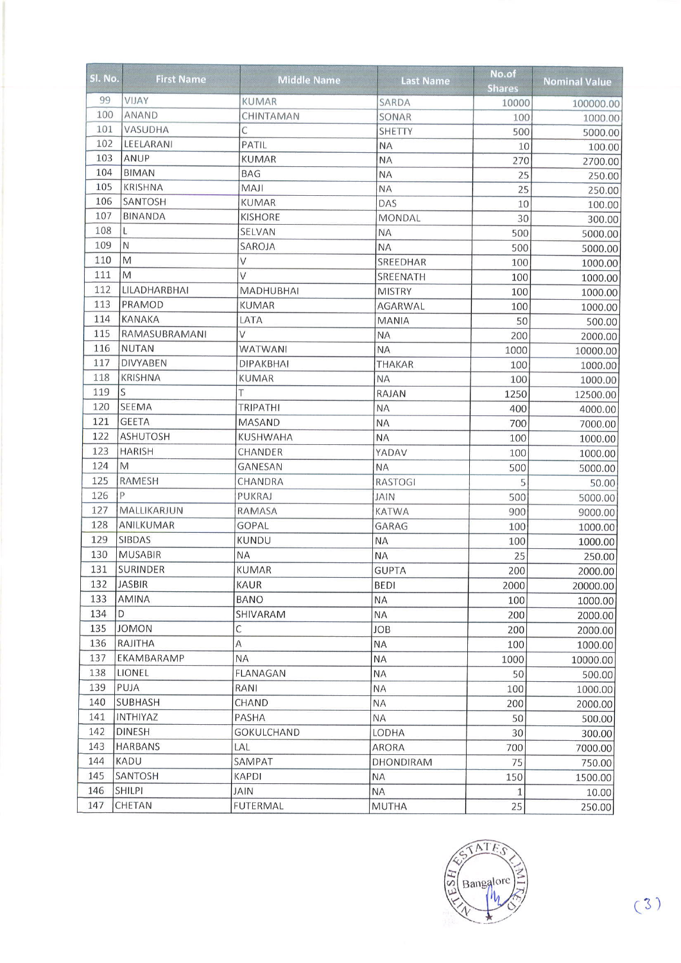| <b>SI. No.</b> | <b>First Name</b><br>الأستراك ليند | <b>Middle Name</b> | <b>Last Name</b> | No.of<br><b>Shares</b> | <b>Nominal Value</b> |
|----------------|------------------------------------|--------------------|------------------|------------------------|----------------------|
| 99             | VIJAY                              | <b>KUMAR</b>       | SARDA            | 10000                  | 100000.00            |
| 100            | <b>ANAND</b>                       | CHINTAMAN          | SONAR            | 100                    | 1000.00              |
| 101            | VASUDHA                            | С                  | SHETTY           | 500                    | 5000.00              |
| 102            | LEELARANI                          | PATIL              | <b>NA</b>        | 10                     | 100.00               |
| 103            | ANUP                               | <b>KUMAR</b>       | <b>NA</b>        | 270                    | 2700.00              |
| 104            | <b>BIMAN</b>                       | <b>BAG</b>         | <b>NA</b>        | 25                     | 250.00               |
| 105            | <b>KRISHNA</b>                     | MAJI               | <b>NA</b>        | 25                     | 250.00               |
| 106            | SANTOSH                            | <b>KUMAR</b>       | DAS              | 10                     | 100.00               |
| 107            | <b>BINANDA</b>                     | <b>KISHORE</b>     | MONDAL           | 30                     | 300.00               |
| 108            | L                                  | SELVAN             | <b>NA</b>        | 500                    | 5000.00              |
| 109            | N                                  | SAROJA             | <b>NA</b>        | 500                    | 5000.00              |
| 110            | M                                  | V                  | SREEDHAR         | 100                    | 1000.00              |
| 111            | M                                  | V                  | SREENATH         | 100                    | 1000.00              |
| 112            | LILADHARBHAI                       | <b>MADHUBHAI</b>   | <b>MISTRY</b>    | 100                    | 1000.00              |
| 113            | PRAMOD                             | <b>KUMAR</b>       | <b>AGARWAL</b>   | 100                    | 1000.00              |
| 114            | <b>KANAKA</b>                      | LATA               | <b>MANIA</b>     | 50                     | 500.00               |
| 115            | RAMASUBRAMANI                      | $\vee$             | <b>NA</b>        | 200                    | 2000.00              |
| 116            | <b>NUTAN</b>                       | <b>WATWANI</b>     | <b>NA</b>        | 1000                   | 10000.00             |
| 117            | <b>DIVYABEN</b>                    | <b>DIPAKBHAI</b>   | <b>THAKAR</b>    | 100                    | 1000.00              |
| 118            | <b>KRISHNA</b>                     | <b>KUMAR</b>       | <b>NA</b>        | 100                    | 1000.00              |
| 119            | $\mathsf S$                        | Т                  | <b>RAJAN</b>     | 1250                   | 12500.00             |
| 120            | SEEMA                              | <b>TRIPATHI</b>    | <b>NA</b>        | 400                    | 4000.00              |
| 121            | <b>GEETA</b>                       | <b>MASAND</b>      | <b>NA</b>        | 700                    | 7000.00              |
| 122            | <b>ASHUTOSH</b>                    | <b>KUSHWAHA</b>    | <b>NA</b>        | 100                    | 1000.00              |
| 123            | <b>HARISH</b>                      | CHANDER            | YADAV            | 100                    |                      |
| 124            | M                                  | GANESAN            | <b>NA</b>        |                        | 1000.00              |
| 125            | <b>RAMESH</b>                      | CHANDRA            | <b>RASTOGI</b>   | 500                    | 5000.00              |
| 126            | P                                  | PUKRAJ             | <b>JAIN</b>      | 5                      | 50.00                |
| 127            | MALLIKARJUN                        | RAMASA             | <b>KATWA</b>     | 500                    | 5000.00              |
| 128            | ANILKUMAR                          | <b>GOPAL</b>       |                  | 900                    | 9000.00              |
| 129            |                                    |                    | GARAG            | 100                    | 1000.00              |
| 130            | <b>SIBDAS</b>                      | <b>KUNDU</b>       | <b>NA</b>        | 100                    | 1000.00              |
|                | <b>MUSABIR</b>                     | <b>NA</b>          | <b>NA</b>        | 25                     | 250.00               |
| 131            | <b>SURINDER</b>                    | <b>KUMAR</b>       | <b>GUPTA</b>     | 200                    | 2000.00              |
| 132            | <b>JASBIR</b>                      | <b>KAUR</b>        | <b>BEDI</b>      | 2000                   | 20000.00             |
| 133            | <b>AMINA</b>                       | <b>BANO</b>        | <b>NA</b>        | 100                    | 1000.00              |
| 134            | D                                  | SHIVARAM           | <b>NA</b>        | 200                    | 2000.00              |
| 135            | <b>JOMON</b>                       | C                  | <b>JOB</b>       | 200                    | 2000.00              |
| 136            | RAJITHA                            | $\overline{A}$     | <b>NA</b>        | 100                    | 1000.00              |
| 137            | EKAMBARAMP                         | <b>NA</b>          | <b>NA</b>        | 1000                   | 10000.00             |
| 138            | LIONEL                             | FLANAGAN           | <b>NA</b>        | 50                     | 500.00               |
| 139            | PUJA                               | RANI               | <b>NA</b>        | 100                    | 1000.00              |
| 140            | <b>SUBHASH</b>                     | CHAND              | <b>NA</b>        | 200                    | 2000.00              |
| 141            | <b>INTHIYAZ</b>                    | PASHA              | <b>NA</b>        | 50                     | 500.00               |
| 142            | <b>DINESH</b>                      | <b>GOKULCHAND</b>  | LODHA            | 30                     | 300.00               |
| 143            | <b>HARBANS</b>                     | LAL                | <b>ARORA</b>     | 700                    | 7000.00              |
| 144            | <b>KADU</b>                        | SAMPAT             | DHONDIRAM        | 75                     | 750.00               |
| 145            | SANTOSH                            | <b>KAPDI</b>       | <b>NA</b>        | 150                    | 1500.00              |
| 146            | <b>SHILPI</b>                      | <b>JAIN</b>        | <b>NA</b>        | 1                      | 10.00                |
| 147            | CHETAN                             | <b>FUTERMAL</b>    | <b>MUTHA</b>     | 25                     | 250.00               |